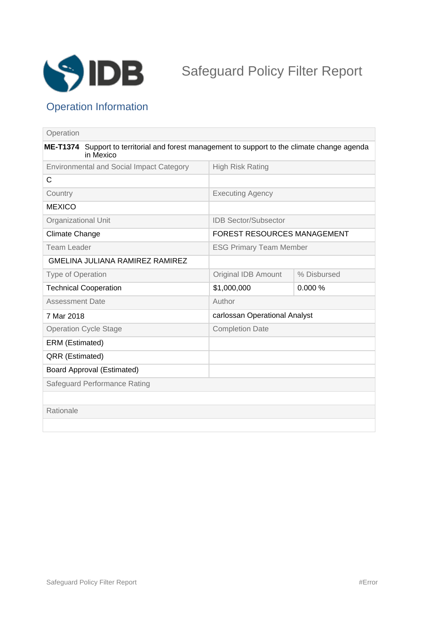

## Operation Information

| Operation                                                                                                            |  |                                    |             |
|----------------------------------------------------------------------------------------------------------------------|--|------------------------------------|-------------|
| <b>ME-T1374</b><br>Support to territorial and forest management to support to the climate change agenda<br>in Mexico |  |                                    |             |
| <b>Environmental and Social Impact Category</b>                                                                      |  | <b>High Risk Rating</b>            |             |
| $\mathsf{C}$                                                                                                         |  |                                    |             |
| Country                                                                                                              |  | <b>Executing Agency</b>            |             |
| <b>MEXICO</b>                                                                                                        |  |                                    |             |
| Organizational Unit                                                                                                  |  | <b>IDB Sector/Subsector</b>        |             |
| <b>Climate Change</b>                                                                                                |  | <b>FOREST RESOURCES MANAGEMENT</b> |             |
| <b>Team Leader</b>                                                                                                   |  | <b>ESG Primary Team Member</b>     |             |
| GMELINA JULIANA RAMIREZ RAMIREZ                                                                                      |  |                                    |             |
| <b>Type of Operation</b>                                                                                             |  | Original IDB Amount                | % Disbursed |
| <b>Technical Cooperation</b>                                                                                         |  | \$1,000,000                        | 0.000%      |
| <b>Assessment Date</b>                                                                                               |  | Author                             |             |
| 7 Mar 2018                                                                                                           |  | carlossan Operational Analyst      |             |
| <b>Operation Cycle Stage</b>                                                                                         |  | <b>Completion Date</b>             |             |
| ERM (Estimated)                                                                                                      |  |                                    |             |
| QRR (Estimated)                                                                                                      |  |                                    |             |
| <b>Board Approval (Estimated)</b>                                                                                    |  |                                    |             |
| Safeguard Performance Rating                                                                                         |  |                                    |             |
|                                                                                                                      |  |                                    |             |
| Rationale                                                                                                            |  |                                    |             |
|                                                                                                                      |  |                                    |             |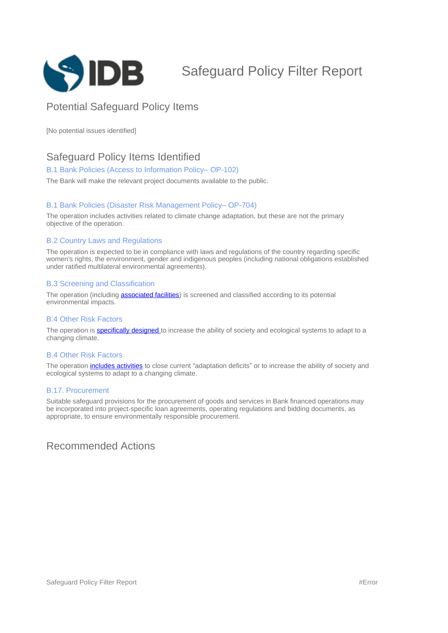

# Safeguard Policy Filter Report

### Potential Safeguard Policy Items

[No potential issues identified]

### Safeguard Policy Items Identified

#### B.1 Bank Policies (Access to Information Policy-OP-102)

The Bank will make the relevant project documents available to the public.

#### B.1 Bank Policies (Disaster Risk Management Policy-OP-704)

The operation includes activities related to climate change adaptation, but these are not the primary objective of the operation.

#### B.2 Country Laws and Regulations

The operation is expected to be in compliance with laws and regulations of the country regarding specific women's rights, the environment, gender and indigenous peoples (including national obligations established under ratified multilateral environmental agreements).

#### B.3 Screening and Classification

The operation (including **[associated facilities](javascript:ShowTerm()**) is screened and classified according to its potential environmental impacts.

#### B.4 Other Risk Factors

The operation is **specifically designed** to increase the ability of society and ecological systems to adapt to a changing climate.

#### B.4 Other Risk Factors

The operation *includes activities* to close current "adaptation deficits" or to increase the ability of society and ecological systems to adapt to a changing climate.

#### B.17. Procurement

Suitable safeguard provisions for the procurement of goods and services in Bank financed operations may be incorporated into project-specific loan agreements, operating regulations and bidding documents, as appropriate, to ensure environmentally responsible procurement.

### Recommended Actions